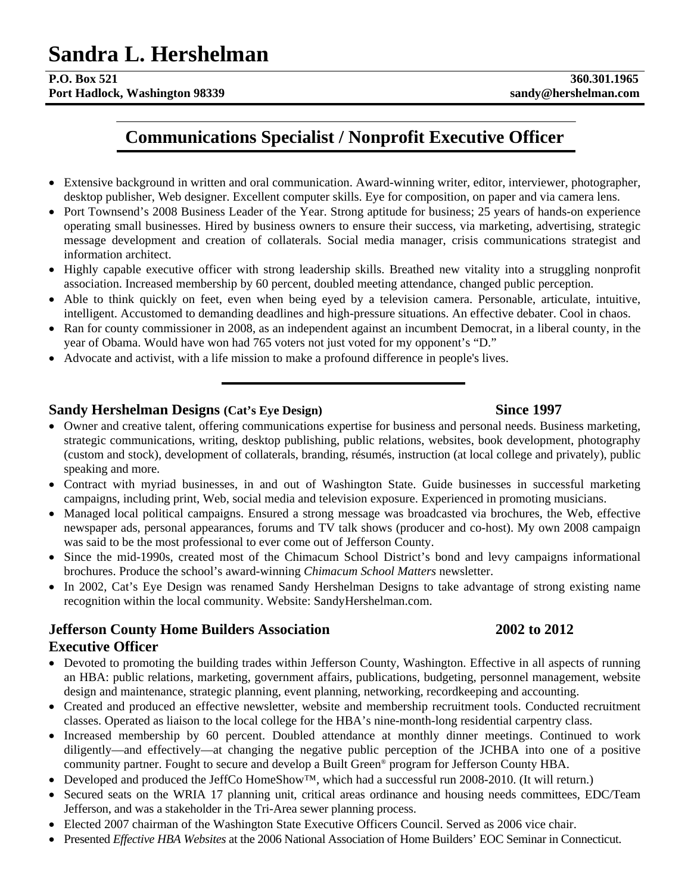# **Sandra L. Hershelman P.O. Box 521** 360.301.1965

**Port Hadlock, Washington 98339 sandy@hershelman.com** 

## **Communications Specialist / Nonprofit Executive Officer**

- Extensive background in written and oral communication. Award-winning writer, editor, interviewer, photographer, desktop publisher, Web designer. Excellent computer skills. Eye for composition, on paper and via camera lens.
- Port Townsend's 2008 Business Leader of the Year. Strong aptitude for business; 25 years of hands-on experience operating small businesses. Hired by business owners to ensure their success, via marketing, advertising, strategic message development and creation of collaterals. Social media manager, crisis communications strategist and information architect.
- Highly capable executive officer with strong leadership skills. Breathed new vitality into a struggling nonprofit association. Increased membership by 60 percent, doubled meeting attendance, changed public perception.
- Able to think quickly on feet, even when being eyed by a television camera. Personable, articulate, intuitive, intelligent. Accustomed to demanding deadlines and high-pressure situations. An effective debater. Cool in chaos.
- Ran for county commissioner in 2008, as an independent against an incumbent Democrat, in a liberal county, in the year of Obama. Would have won had 765 voters not just voted for my opponent's "D."
- Advocate and activist, with a life mission to make a profound difference in people's lives.

### **Sandy Hershelman Designs** (Cat's Eye Design) Since 1997

- Owner and creative talent, offering communications expertise for business and personal needs. Business marketing, strategic communications, writing, desktop publishing, public relations, websites, book development, photography (custom and stock), development of collaterals, branding, résumés, instruction (at local college and privately), public speaking and more.
- Contract with myriad businesses, in and out of Washington State. Guide businesses in successful marketing campaigns, including print, Web, social media and television exposure. Experienced in promoting musicians.
- Managed local political campaigns. Ensured a strong message was broadcasted via brochures, the Web, effective newspaper ads, personal appearances, forums and TV talk shows (producer and co-host). My own 2008 campaign was said to be the most professional to ever come out of Jefferson County.
- Since the mid-1990s, created most of the Chimacum School District's bond and levy campaigns informational brochures. Produce the school's award-winning *Chimacum School Matters* newsletter.
- In 2002, Cat's Eye Design was renamed Sandy Hershelman Designs to take advantage of strong existing name recognition within the local community. Website: SandyHershelman.com.

### **Jefferson County Home Builders Association 2002 to 2012 Executive Officer**

- Devoted to promoting the building trades within Jefferson County, Washington. Effective in all aspects of running an HBA: public relations, marketing, government affairs, publications, budgeting, personnel management, website design and maintenance, strategic planning, event planning, networking, recordkeeping and accounting.
- Created and produced an effective newsletter, website and membership recruitment tools. Conducted recruitment classes. Operated as liaison to the local college for the HBA's nine-month-long residential carpentry class.
- Increased membership by 60 percent. Doubled attendance at monthly dinner meetings. Continued to work diligently—and effectively—at changing the negative public perception of the JCHBA into one of a positive community partner. Fought to secure and develop a Built Green® program for Jefferson County HBA.
- Developed and produced the JeffCo HomeShow™, which had a successful run 2008-2010. (It will return.)
- Secured seats on the WRIA 17 planning unit, critical areas ordinance and housing needs committees, EDC/Team Jefferson, and was a stakeholder in the Tri-Area sewer planning process.
- Elected 2007 chairman of the Washington State Executive Officers Council. Served as 2006 vice chair.
- Presented *Effective HBA Websites* at the 2006 National Association of Home Builders' EOC Seminar in Connecticut.